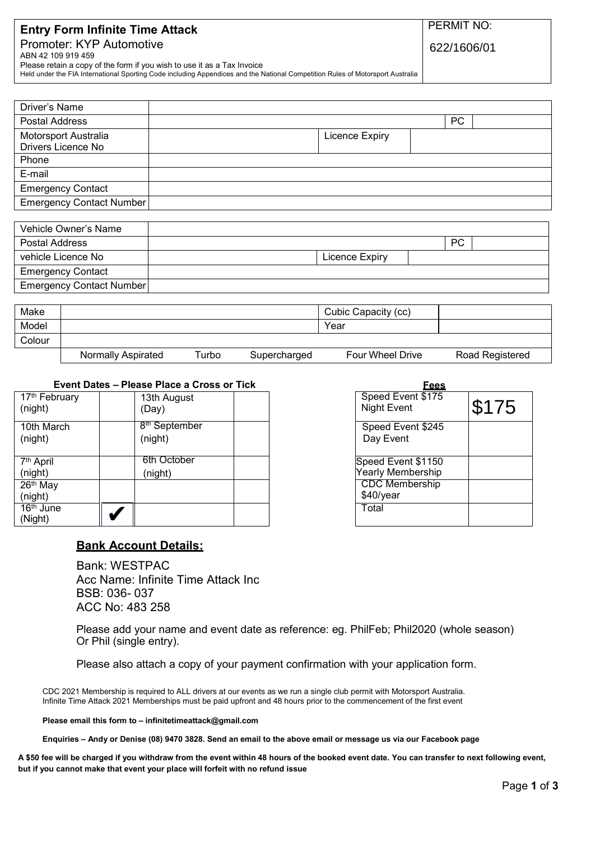# **Entry Form Infinite Time Attack**

# Promoter: KYP Automotive ABN 42 109 919 459

PERMIT NO:

622/1606/01

Please retain a copy of the form if you wish to use it as a Tax Invoice

Held under the FIA International Sporting Code including Appendices and the National Competition Rules of Motorsport Australia

| Driver's Name                              |                |    |  |
|--------------------------------------------|----------------|----|--|
| Postal Address                             |                | PC |  |
| Motorsport Australia<br>Drivers Licence No | Licence Expiry |    |  |
| Phone                                      |                |    |  |
| E-mail                                     |                |    |  |
| <b>Emergency Contact</b>                   |                |    |  |
| Emergency Contact Number                   |                |    |  |

| Vehicle Owner's Name     |                |           |  |
|--------------------------|----------------|-----------|--|
| Postal Address           |                | <b>PC</b> |  |
| vehicle Licence No       | Licence Expiry |           |  |
| <b>Emergency Contact</b> |                |           |  |
| Emergency Contact Number |                |           |  |

| Make   |                    |       |              | Cubic Capacity (cc)     |                 |
|--------|--------------------|-------|--------------|-------------------------|-----------------|
| Model  |                    |       |              | Year                    |                 |
| Colour |                    |       |              |                         |                 |
|        | Normally Aspirated | Turbo | Supercharged | <b>Four Wheel Drive</b> | Road Registered |

# **Event Dates – Please Place a Cross or Tick**

| 17 <sup>th</sup> February<br>(night) | 13th August<br>(Day)                 |  |
|--------------------------------------|--------------------------------------|--|
| 10th March<br>(night)                | 8 <sup>th</sup> September<br>(night) |  |
| 7 <sup>th</sup> April                | 6th October                          |  |
| (night)                              | (night)                              |  |
| 26th May                             |                                      |  |
| (night)                              |                                      |  |
| 16 <sup>th</sup> June                |                                      |  |
| (Night)                              |                                      |  |

| Fees                                    |       |
|-----------------------------------------|-------|
| Speed Event \$175<br><b>Night Event</b> | \$175 |
|                                         |       |
| Speed Event \$245                       |       |
| Day Event                               |       |
|                                         |       |
| Speed Event \$1150                      |       |
| Yearly Membership                       |       |
| <b>CDC</b> Membership                   |       |
| \$40/year                               |       |
| Total                                   |       |
|                                         |       |

# **Bank Account Details:**

Bank: WESTPAC Acc Name: Infinite Time Attack Inc BSB: 036- 037 ACC No: 483 258

Please add your name and event date as reference: eg. PhilFeb; Phil2020 (whole season) Or Phil (single entry).

Please also attach a copy of your payment confirmation with your application form.

CDC 2021 Membership is required to ALL drivers at our events as we run a single club permit with Motorsport Australia. Infinite Time Attack 2021 Memberships must be paid upfront and 48 hours prior to the commencement of the first event

**Please email this form to [– infinitetimeattack@gmail.com](mailto:infinitetimeattack@gmail.com)**

**Enquiries – Andy or Denise (08) 9470 3828. Send an email to the above email or message us via our Facebook page**

**A \$50 fee will be charged if you withdraw from the event within 48 hours of the booked event date. You can transfer to next following event, but if you cannot make that event your place will forfeit with no refund issue**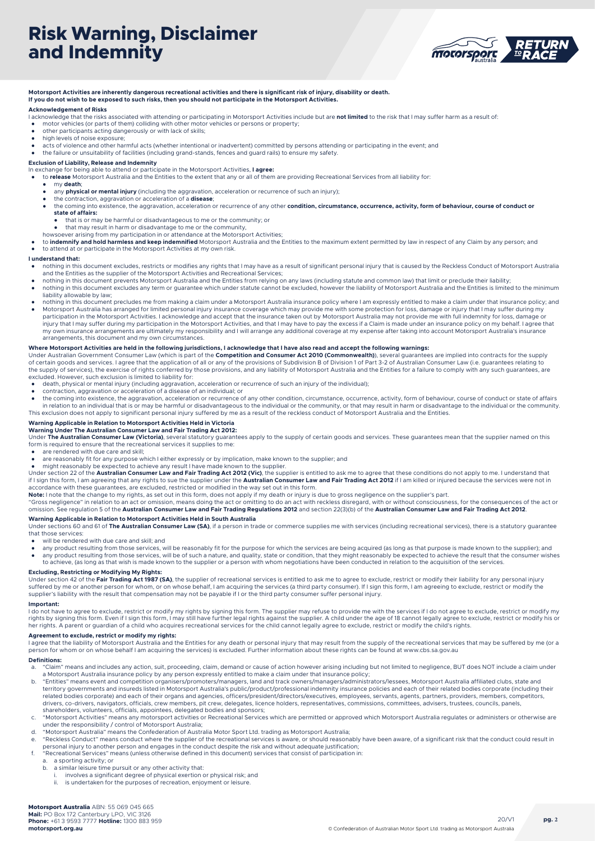

### **Motorsport Activities are inherently dangerous recreational activities and there is significant risk of injury, disability or death.**

### **If you do not wish to be exposed to such risks, then you should not participate in the Motorsport Activities.**

### **Acknowledgement of Risks**

- l acknowledge that the risks associated with attending or participating in Motorsport Activities include but are **not limited** to the risk that I may suffer harm as a result of:<br>• motor vehicles (or parts of them) collidin
- 
- other participants acting dangerously or with lack of skills; high levels of noise exposure;
- acts of violence and other harmful acts (whether intentional or inadvertent) committed by persons attending or participating in the event; and
- the failure or unsuitability of facilities (including grand-stands, fences and guard rails) to ensure my safety.

#### **Exclusion of Liability, Release and Indemnity**

- 
- In exchange for being able to attend or participate in the Motorsport Activities, **I agree:**<br>• to **release** Motorsport Australia and the Entities to the extent that any or all of them are providing Recreational Services fr
	- my **death**;
	- any **physical or mental injury** (including the aggravation, acceleration or recurrence of such an injury); the contraction, aggravation or acceleration of a **disease**;
	- the coming into existence, the aggravation, acceleration or recurrence of any other **condition, circumstance, occurrence, activity, form of behaviour, course of conduct or**
		- **state of affairs:**
		- that is or may be harmful or disadvantageous to me or the community; or
		- that may result in harm or disadvantage to me or the community
	- howsoever arising from my participation in or attendance at the Motorsport Activities;
- to **indemnify and hold harmless and keep indemnified** Motorsport Australia and the Entities to the maximum extent permitted by law in respect of any Claim by any person; and to attend at or participate in the Motorsport Activities at my own risk.

#### **I understand that:**

- nothing in this document excludes, restricts or modifies any rights that I may have as a result of significant personal injury that is caused by the Reckless Conduct of Motorsport Australia and the Entities as the supplier of the Motorsport Activities and Recreational Services;
- nothing in this document prevents Motorsport Australia and the Entities from relying on any laws (including statute and common law) that limit or preclude their liability; nothing in this document excludes any term or guarantee which under statute cannot be excluded, however the liability of Motorsport Australia and the Entities is limited to the minimum liability allowable by law;
- nothing in this document precludes me from making a claim under a Motorsport Australia insurance policy where I am expressly entitled to make a claim under that insurance policy; and
- Motorsport Australia has arranged for limited personal injury insurance coverage which may provide me with some protection for loss, damage or injury that I may suffer during my وparticipation in the Motorsport Activities. injury that I may suffer during my participation in the Motorsport Activities, and that I may have to pay the excess if a Claim is made under an insurance policy on my behalf. I agree that my own insurance arrangements are ultimately my responsibility and I will arrange any additional coverage at my expense after taking into account Motorsport Australia's insurance arrangements, this document and my own circumstances.

### **Where Motorsport Activities are held in the following jurisdictions, I acknowledge that I have also read and accept the following warnings:**

Under Australian Government Consumer Law (which is part of the **Competition and Consumer Act 2010 (Commonwealth)**), several guarantees are implied into contracts for the supply<br>of certain goods and services. I agree that t the supply of services), the exercise of rights conferred by those provisions, and any liability of Motorsport Australia and the Entities for a failure to comply with any such guarantees, are excluded. However, such exclusion is limited to liability for:

- death, physical or mental injury (including aggravation, acceleration or recurrence of such an injury of the individual);
- contraction, aggravation or acceleration of a disease of an individual; or
- the coming into existence, the aggravation, acceleration or recurrence of any other condition, circumstance, occurrence, activity, form of behaviour, course of conduct or state of affairs in relation to an individual that is or may be harmful or disadvantageous to the individual or the community, or that may result in harm or disadvantage to the individual or the community<br>This exclusion does not apply to s

#### **Warning Applicable in Relation to Motorsport Activities Held in Victoria Warning Under The Australian Consumer Law and Fair Trading Act 2012:**

Under **The Australian Consumer Law (Victoria)**, several statutory guarantees apply to the supply of certain goods and services. These guarantees mean that the supplier named on this form is required to ensure that the recreational services it supplies to me

- are rendered with due care and skill;
- are reasonably fit for any purpose which I either expressly or by implication, make known to the supplier; and might reasonably be expected to achieve any result I have made known to the supplier.
- 

Under section 22 of the **Australian Consumer Law and Fair Trading Act 2012 (Vic)**, the supplier is entitled to ask me to agree that these conditions do not apply to me. I understand that<br>if I sign this form, I am agreeing accordance with these guarantees, are excluded, restricted or modified in the way set out in this form.

**Note:** I note that the change to my rights, as set out in this form, does not apply if my death or injury is due to gross negligence on the supplier's part.<br>"Gross negligence" in relation to an act or omission, means doin omission. See regulation 5 of the **Australian Consumer Law and Fair Trading Regulations 2012** and section 22(3)(b) of the **Australian Consumer Law and Fair Trading Act 2012**.

### **Warning Applicable in Relation to Motorsport Activities Held in South Australia**

Under sections 60 and 61 of The Australian Consumer Law (SA), if a person in trade or commerce supplies me with services (including recreational services), there is a statutory guarantee that those services:

- will be rendered with due care and skill; and
- any product resulting from those services, will be reasonably fit for the purpose for which the services are being acquired (as long as that purpose is made known to the supplier); and<br>● any product resulting from tho to achieve, (as long as that wish is made known to the supplier or a person with whom negotiations have been conducted in relation to the acquisition of the services.

### **Excluding, Restricting or Modifying My Rights:**

Under section 42 of the **Fair Trading Act 1987 (SA)**, the supplier of recreational services is entitled to ask me to agree to exclude, restrict or modify their liability for any personal injury<br>suffered by me or another pe supplier's liability with the result that compensation may not be payable if I or the third party consumer suffer personal injury.

#### **Important:**

I do not have to agree to exclude, restrict or modify my rights by signing this form. The supplier may refuse to provide me with the services if I do not agree to exclude, restrict or modify my rights by signing this form. Even if I sign this form, I may still have further legal rights against the supplier. A child under the age of 18 cannot legally agree to exclude, restrict or modify his or<br>her rights. A parent

#### **Agreement to exclude, restrict or modify my rights:**

I agree that the liability of Motorsport Australia and the Entities for any death or personal injury that may result from the supply of the recreational services that may be suffered by me (or a person for whom or on whose behalf I am acquiring the services) is excluded. Further information about these rights can be found at www.cbs.sa.gov.au

#### **Definitions:**

- a. "Claim" means and includes any action, suit, proceeding, claim, demand or cause of action however arising including but not limited to negligence, BUT does NOT include a claim under
- a Motorsport Australia insurance policy by any person expressly entitled to make a claim under that insurance policy;<br>b. "Entities" means event and competition organisers/promoters/managers, land and track owners/managers/ territory governments and insureds listed in Motorsport Australia's public/product/professional indemnity insurance policies and each of their related bodies corporate (including their<br>related bodies corporate) and each of drivers, co-drivers, navigators, officials, crew members, pit crew, delegates, licence holders, representatives, commissions, committees, advisers, trustees, councils, panels, shareholders, volunteers, officials, appointees, delegated bodies and sponsors;
- c. "Motorsport Activities" means any motorsport activities or Recreational Services which are permitted or approved which Motorsport Australia regulates or administers or otherwise are
- under the responsibility / control of Motorsport Australia; d. "Motorsport Australia" means the Confederation of Australia Motor Sport Ltd. trading as Motorsport Australia;
- e. "Reckless Conduct" means conduct where the supplier of the recreational services is aware, or should reasonably have been aware, of a significant risk that the conduct could result in<br>personal injury to another person a
- f. "Recreational Services" means (unless otherwise defined in this document) services that consist of participation in:
	- a. a sporting activity; or
		- a similar leisure time pursuit or any other activity that:
		- i. involves a significant degree of physical exertion or physical risk; and ii. is undertaken for the purposes of recreation, enjoyment or leisure.
		- is undertaken for the purposes of recreation, enjoyment or leisure.

 $20/11$